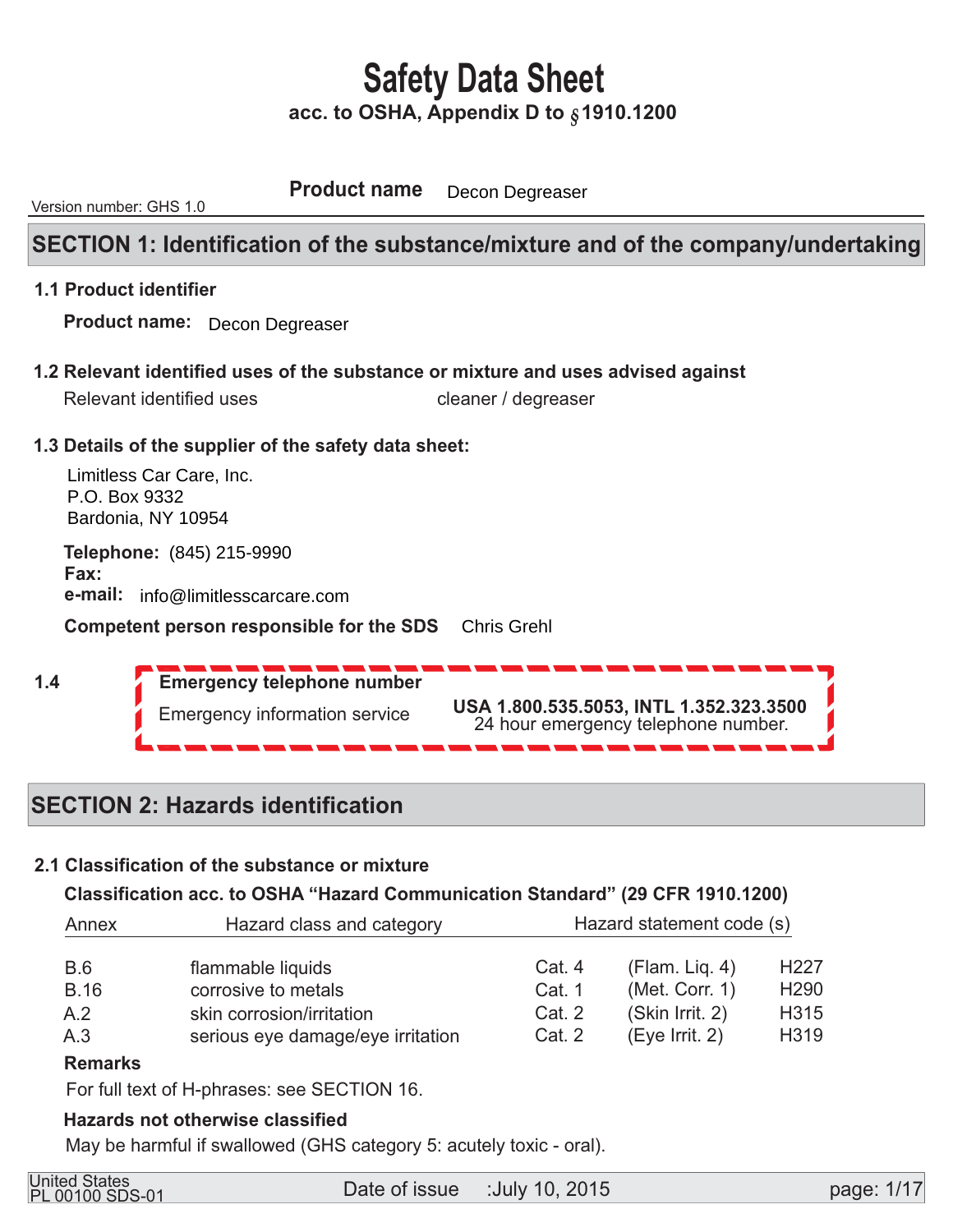**Product name APC Degreaser** Decon Degreaser

Version number: GHS 1.0

### **SECTION 1: Identification of the substance/mixture and of the company/undertaking**

### **1.1 Product identifier**

**Product name:** Decon Degreaser

 **1.2 Relevant identified uses of the substance or mixture and uses advised against** 

| Relevant identified uses | cleaner / degreaser |
|--------------------------|---------------------|
|--------------------------|---------------------|

### **1.3 Details of the supplier of the safety data sheet:**

Limitless Car Care, Inc. P.O. Box 9332 Bardonia, NY 10954

**Telephone: (845) 215-9990 Fax:**  $\overline{a}$ **e-mail:** info@limitlesscarcare.com

**Competent person responsible for the SDS** Chris Grehl



### **SECTION 2: Hazards identification**

### **2.1 Classification of the substance or mixture**

#### **Classification acc. to OSHA "Hazard Communication Standard" (29 CFR 1910.1200)**

| Annex       | Hazard class and category         |        | Hazard statement code (s) |                  |  |  |
|-------------|-----------------------------------|--------|---------------------------|------------------|--|--|
| <b>B.6</b>  | flammable liquids                 | Cat. 4 | (Flam. Lig. 4)            | H <sub>227</sub> |  |  |
| <b>B.16</b> | corrosive to metals               | Cat. 1 | (Met. Corr. 1)            | H <sub>290</sub> |  |  |
| A.2         | skin corrosion/irritation         | Cat. 2 | (Skin Irrit. 2)           | H315             |  |  |
| А.З         | serious eye damage/eye irritation | Cat. 2 | (Eye Irrit. 2)            | H319             |  |  |

#### **Remarks**

 **1.4** 

For full text of H-phrases: see SECTION 16.

### **Hazards not otherwise classified**

May be harmful if swallowed (GHS category 5: acutely toxic - oral).

| <b>United States</b>   |  |
|------------------------|--|
| <b>PL 00100 SDS-01</b> |  |

Date of issue :July 10, 2015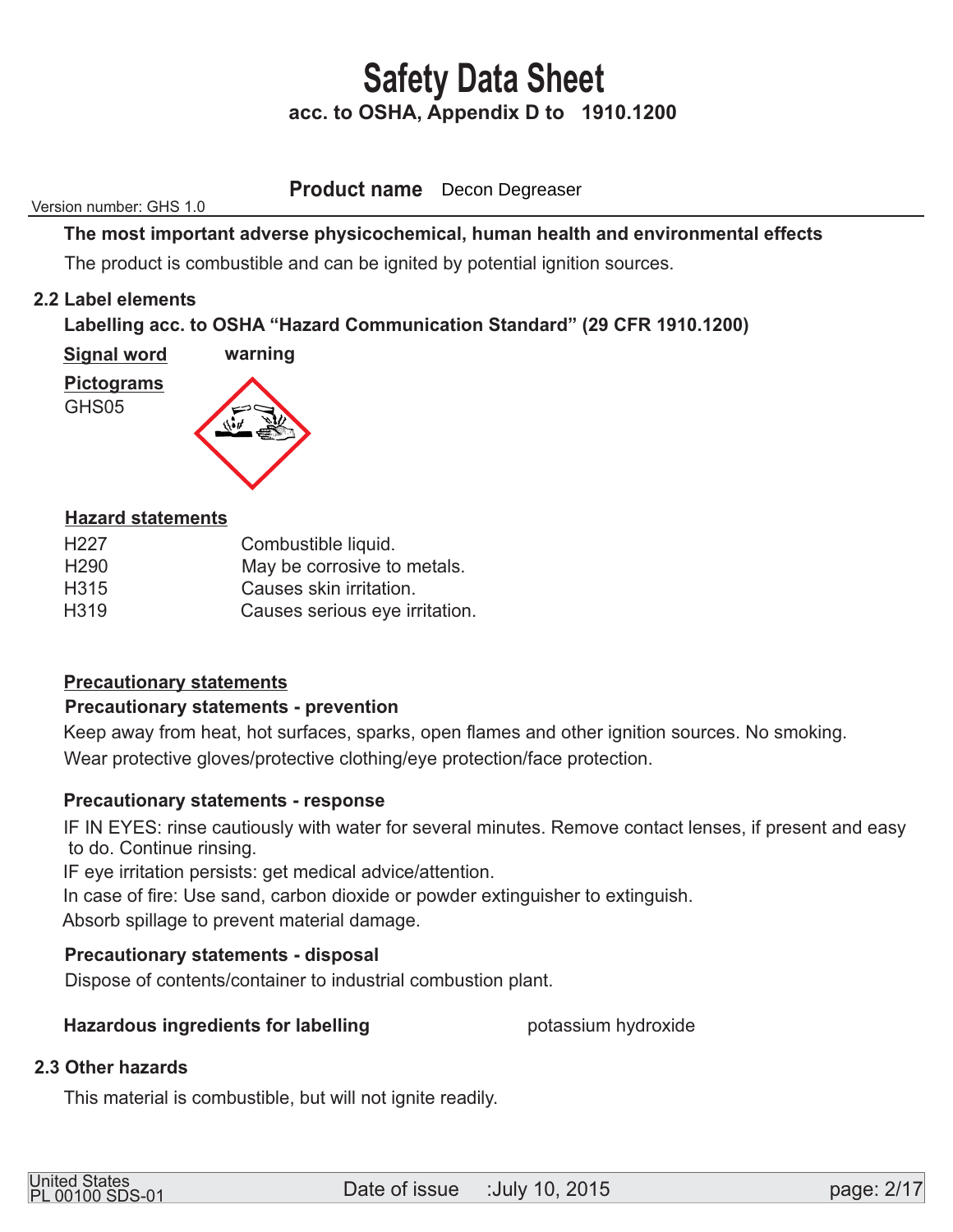**Product name** Decon Degreaser

Version number: GHS 1.0

 **The most important adverse physicochemical, human health and environmental effects** 

The product is combustible and can be ignited by potential ignition sources.

### **2.2 Label elements**

 **Labelling acc. to OSHA "Hazard Communication Standard" (29 CFR 1910.1200)** 

 **warning**  GHS05  **Signal word Pictograms** 

### **Hazard statements**

| H <sub>22</sub> 7 | Combustible liquid.            |
|-------------------|--------------------------------|
| H <sub>290</sub>  | May be corrosive to metals.    |
| H315              | Causes skin irritation.        |
| H319              | Causes serious eye irritation. |

### **Precautionary statements**

### **Precautionary statements - prevention**

 Keep away from heat, hot surfaces, sparks, open flames and other ignition sources. No smoking. Wear protective gloves/protective clothing/eye protection/face protection.

### **Precautionary statements - response**

 IF IN EYES: rinse cautiously with water for several minutes. Remove contact lenses, if present and easy to do. Continue rinsing.

IF eye irritation persists: get medical advice/attention.

In case of fire: Use sand, carbon dioxide or powder extinguisher to extinguish.

Absorb spillage to prevent material damage.

### **Precautionary statements - disposal**

Dispose of contents/container to industrial combustion plant.

### Hazardous ingredients for labelling **potassium hydroxide**

### **2.3 Other hazards**

This material is combustible, but will not ignite readily.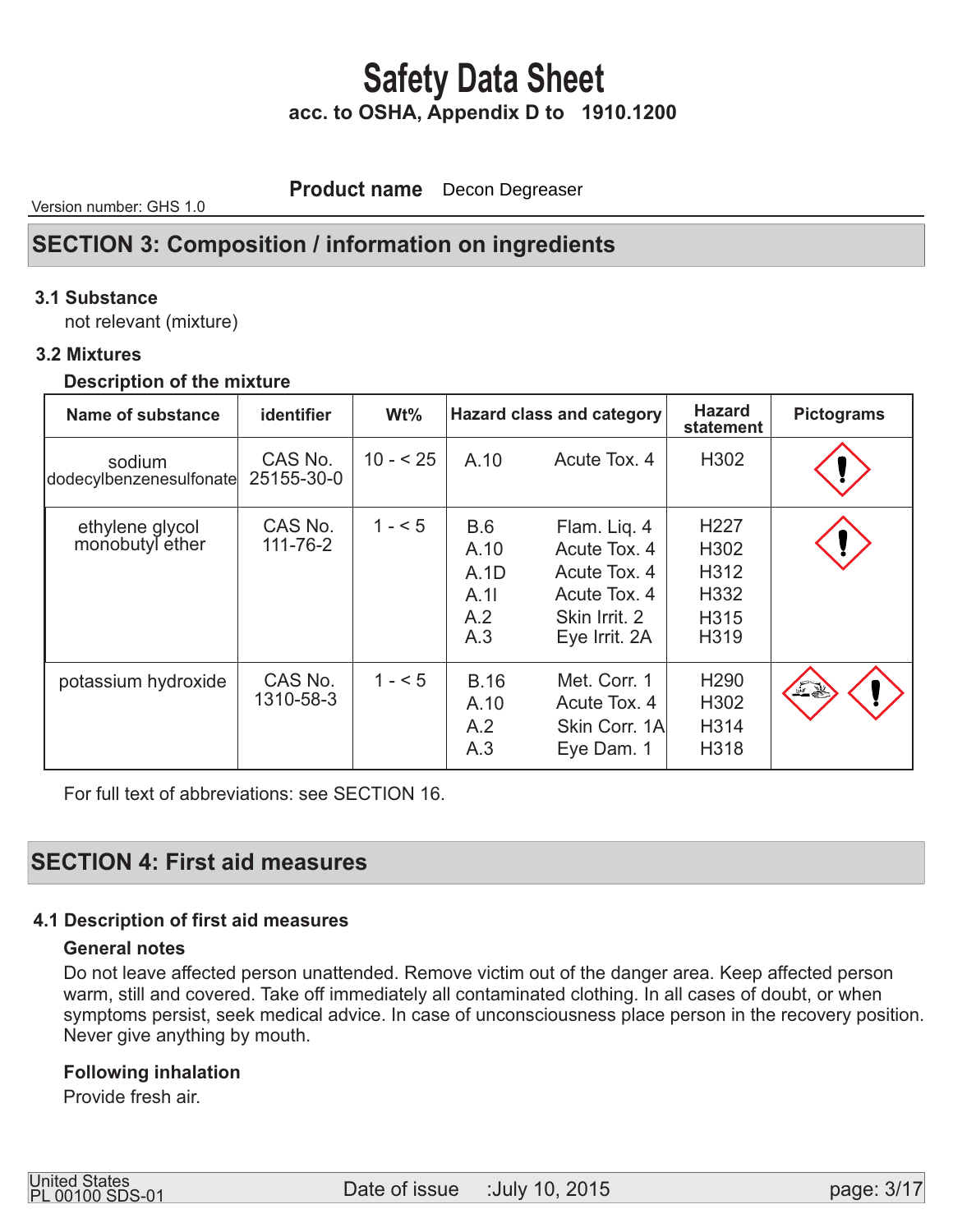**Product name** Decon Degreaser

Version number: GHS 1.0

### **SECTION 3: Composition / information on ingredients**

### **3.1 Substance**

not relevant (mixture)

### **3.2 Mixtures**

#### **Description of the mixture**

| Name of substance                  | identifier                | $Wt\%$     |                                           | <b>Hazard class and category</b>                                                               |                                                                      | <b>Pictograms</b> |
|------------------------------------|---------------------------|------------|-------------------------------------------|------------------------------------------------------------------------------------------------|----------------------------------------------------------------------|-------------------|
| sodium<br>dodecylbenzenesulfonate  | CAS No.<br>25155-30-0     | $10 - 525$ | A.10                                      | Acute Tox, 4                                                                                   | H302                                                                 |                   |
| ethylene glycol<br>monobutyl ether | CAS No.<br>$111 - 76 - 2$ | $1 - 5$    | B.6<br>A.10<br>A.1D<br>A.11<br>A.2<br>A.3 | Flam. Liq. 4<br>Acute Tox, 4<br>Acute Tox, 4<br>Acute Tox, 4<br>Skin Irrit. 2<br>Eye Irrit. 2A | H <sub>227</sub><br>H <sub>302</sub><br>H312<br>H332<br>H315<br>H319 |                   |
| potassium hydroxide                | CAS No.<br>1310-58-3      | $1 - 5$    | <b>B.16</b><br>A.10<br>A.2<br>A.3         | Met. Corr. 1<br>Acute Tox, 4<br>Skin Corr. 1A<br>Eye Dam. 1                                    | H <sub>290</sub><br>H302<br>H314<br>H318                             | 后果                |

For full text of abbreviations: see SECTION 16.

### **SECTION 4: First aid measures**

### **4.1 Description of first aid measures**

#### **General notes**

 Do not leave affected person unattended. Remove victim out of the danger area. Keep affected person warm, still and covered. Take off immediately all contaminated clothing. In all cases of doubt, or when symptoms persist, seek medical advice. In case of unconsciousness place person in the recovery position. Never give anything by mouth.

### **Following inhalation**

Provide fresh air.

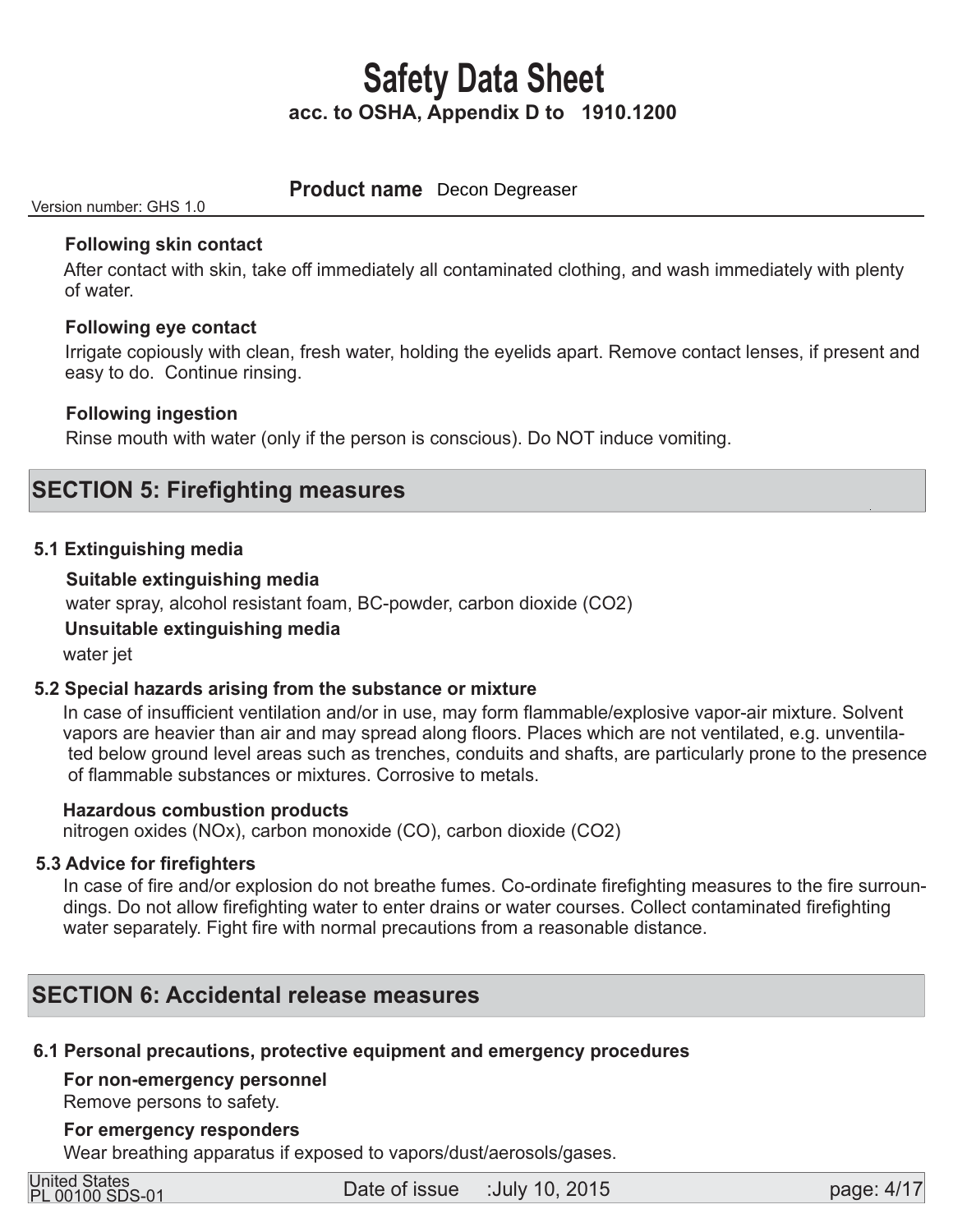### **Product name** Decon Degreaser

Version number: GHS 1.0

### **Following skin contact**

 After contact with skin, take off immediately all contaminated clothing, and wash immediately with plenty of water.

### **Following eye contact**

 Irrigate copiously with clean, fresh water, holding the eyelids apart. Remove contact lenses, if present and easy to do. Continue rinsing.

### **Following ingestion**

Rinse mouth with water (only if the person is conscious). Do NOT induce vomiting.

### **SECTION 5: Firefighting measures**

### **5.1 Extinguishing media**

### **Suitable extinguishing media**

water spray, alcohol resistant foam, BC-powder, carbon dioxide (CO2)

### **Unsuitable extinguishing media**

water jet

#### **5.2 Special hazards arising from the substance or mixture**

 In case of insufficient ventilation and/or in use, may form flammable/explosive vapor-air mixture. Solvent vapors are heavier than air and may spread along floors. Places which are not ventilated, e.g. unventila ted below ground level areas such as trenches, conduits and shafts, are particularly prone to the presence of flammable substances or mixtures. Corrosive to metals.

#### **Hazardous combustion products**

nitrogen oxides (NOx), carbon monoxide (CO), carbon dioxide (CO2)

#### **5.3 Advice for firefighters**

 In case of fire and/or explosion do not breathe fumes. Co-ordinate firefighting measures to the fire surroun dings. Do not allow firefighting water to enter drains or water courses. Collect contaminated firefighting water separately. Fight fire with normal precautions from a reasonable distance.

### **SECTION 6: Accidental release measures**

### **6.1 Personal precautions, protective equipment and emergency procedures**

### **For non-emergency personnel**

Remove persons to safety.

### **For emergency responders**

Wear breathing apparatus if exposed to vapors/dust/aerosols/gases.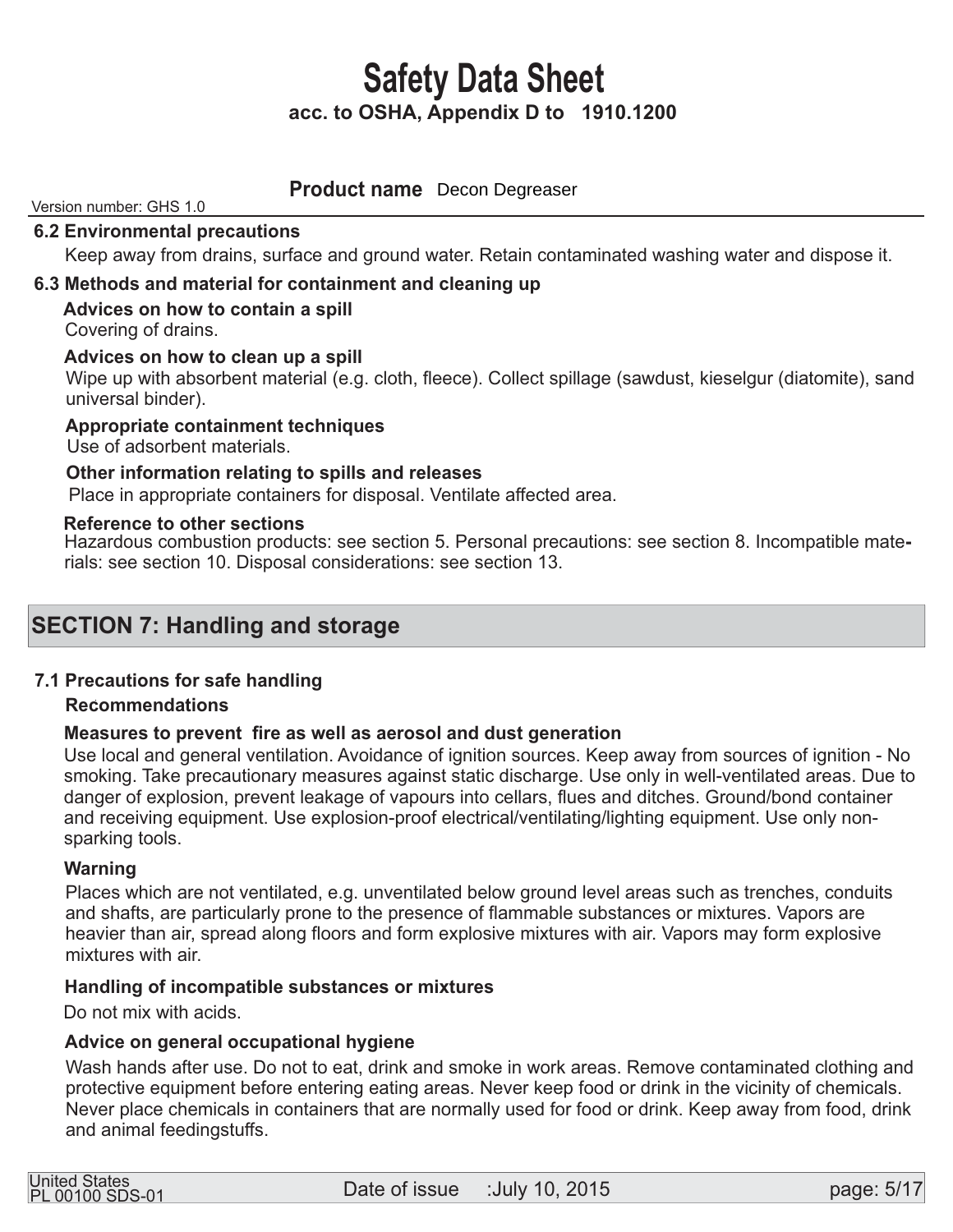### **Product name** Decon Degreaser

### Version number: GHS 1.0

### **6.2 Environmental precautions**

Keep away from drains, surface and ground water. Retain contaminated washing water and dispose it.

### **6.3 Methods and material for containment and cleaning up**

 **Advices on how to contain a spill** Covering of drains.

#### **Advices on how to clean up a spill**

Wipe up with absorbent material (e.g. cloth, fleece). Collect spillage (sawdust, kieselgur (diatomite), sand universal binder).

 **Appropriate containment techniques** 

Use of adsorbent materials.

### **Other information relating to spills and releases**

Place in appropriate containers for disposal. Ventilate affected area.

#### **Reference to other sections**

Hazardous combustion products: see section 5. Personal precautions: see section 8. Incompatible materials: see section 10. Disposal considerations: see section 13.

### **SECTION 7: Handling and storage**

### **7.1 Precautions for safe handling**

#### **Recommendations**

#### **Measures to prevent fire as well as aerosol and dust generation**

 Use local and general ventilation. Avoidance of ignition sources. Keep away from sources of ignition - No smoking. Take precautionary measures against static discharge. Use only in well-ventilated areas. Due to danger of explosion, prevent leakage of vapours into cellars, flues and ditches. Ground/bond container and receiving equipment. Use explosion-proof electrical/ventilating/lighting equipment. Use only non sparking tools.

#### **Warning**

 Places which are not ventilated, e.g. unventilated below ground level areas such as trenches, conduits and shafts, are particularly prone to the presence of flammable substances or mixtures. Vapors are heavier than air, spread along floors and form explosive mixtures with air. Vapors may form explosive mixtures with air.

#### **Handling of incompatible substances or mixtures**

Do not mix with acids.

### **Advice on general occupational hygiene**

 Wash hands after use. Do not to eat, drink and smoke in work areas. Remove contaminated clothing and protective equipment before entering eating areas. Never keep food or drink in the vicinity of chemicals. Never place chemicals in containers that are normally used for food or drink. Keep away from food, drink and animal feedingstuffs.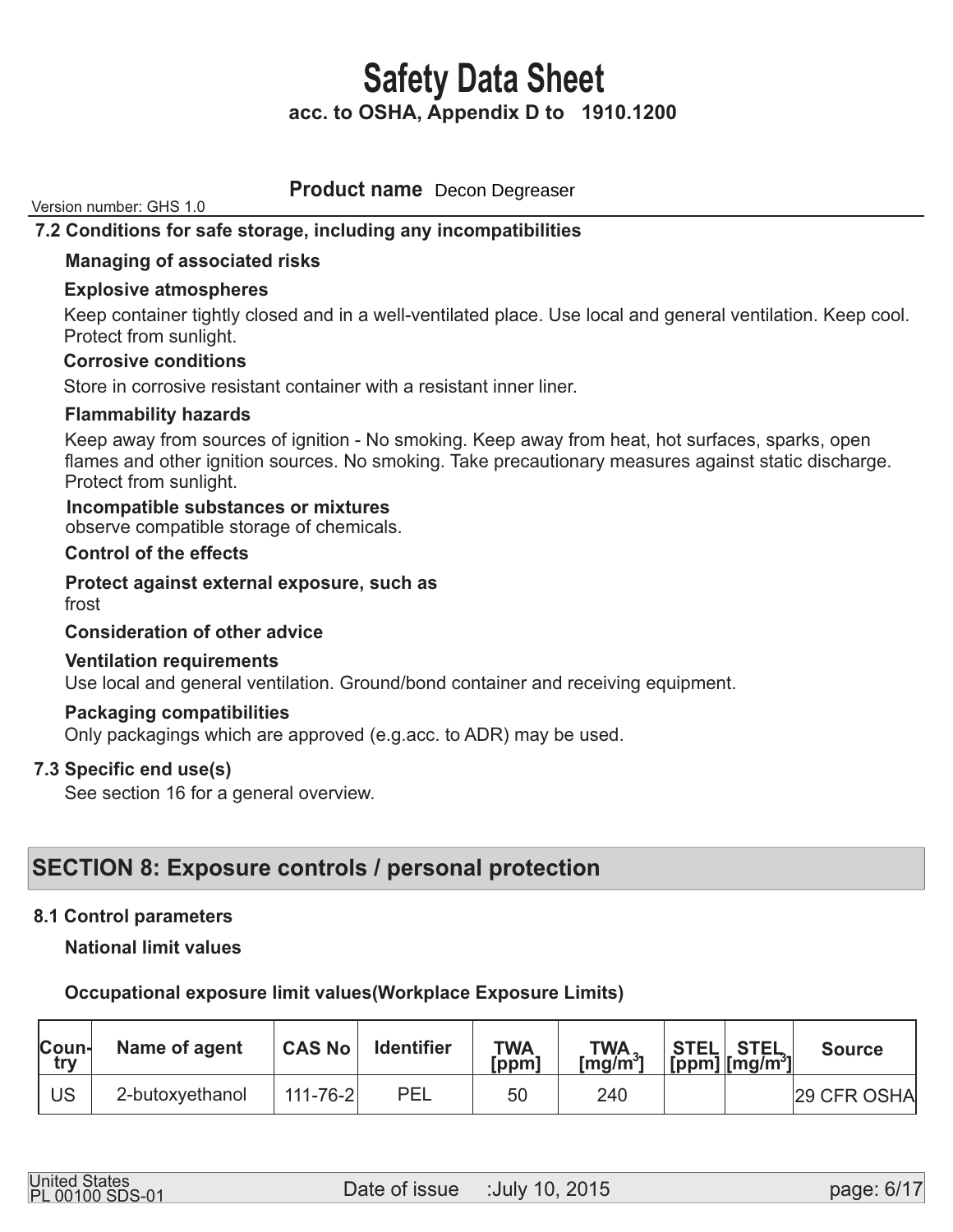### **Product name** Decon Degreaser

Version number: GHS 1.0

### **7.2 Conditions for safe storage, including any incompatibilities**

### **Managing of associated risks**

### **Explosive atmospheres**

 Keep container tightly closed and in a well-ventilated place. Use local and general ventilation. Keep cool. Protect from sunlight.

### **Corrosive conditions**

Store in corrosive resistant container with a resistant inner liner.

### **Flammability hazards**

 Keep away from sources of ignition - No smoking. Keep away from heat, hot surfaces, sparks, open flames and other ignition sources. No smoking. Take precautionary measures against static discharge. Protect from sunlight.

### **Incompatible substances or mixtures**

observe compatible storage of chemicals.

#### **Control of the effects**

 **Protect against external exposure, such as**  frost

#### **Consideration of other advice**

#### **Ventilation requirements**

Use local and general ventilation. Ground/bond container and receiving equipment.

### **Packaging compatibilities**

Only packagings which are approved (e.g.acc. to ADR) may be used.

### **7.3 Specific end use(s)**

See section 16 for a general overview.

### **SECTION 8: Exposure controls / personal protection**

### **8.1 Control parameters**

 **National limit values** 

### **Occupational exposure limit values(Workplace Exposure Limits)**

| $\mathsf{Coun}$<br>try | Name of agent   | <b>CAS No</b>  | <b>Identifier</b> | TWA<br>[ppm] | TWA,<br>$\lceil \text{mg/m}^3 \rceil$ | STEL STEL<br>[ppm] [mg/m <sup>3</sup> ] | <b>Source</b> |
|------------------------|-----------------|----------------|-------------------|--------------|---------------------------------------|-----------------------------------------|---------------|
| US                     | 2-butoxyethanol | $111 - 76 - 2$ | PEL               | 50           | 240                                   |                                         | 29 CFR OSHA   |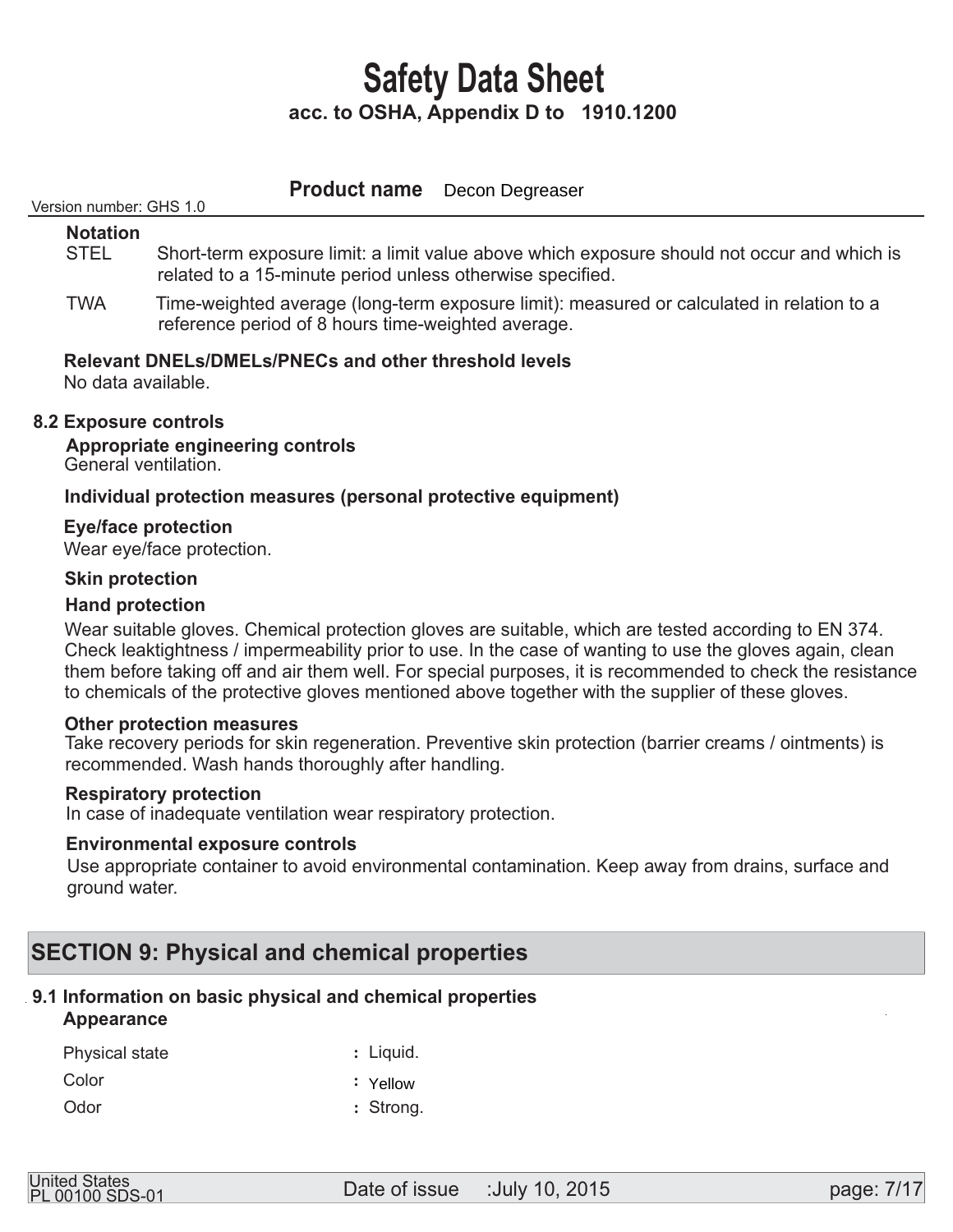|                                | <b>Product name</b> Decon Degreaser                                                                                                                      |
|--------------------------------|----------------------------------------------------------------------------------------------------------------------------------------------------------|
| Version number: GHS 1.0        |                                                                                                                                                          |
| <b>Notation</b><br><b>STEL</b> | Short-term exposure limit: a limit value above which exposure should not occur and which is<br>related to a 15-minute period unless otherwise specified. |
| <b>TWA</b>                     | Time-weighted average (long-term exposure limit): measured or calculated in relation to a<br>reference period of 8 hours time-weighted average.          |
| No data available.             | Relevant DNELs/DMELs/PNECs and other threshold levels                                                                                                    |
| 8.2 Exposure controls          |                                                                                                                                                          |

 **Appropriate engineering controls**  General ventilation.

### **Individual protection measures (personal protective equipment)**

 **Eye/face protection** 

Wear eye/face protection.

### **Skin protection**

### **Hand protection**

 Wear suitable gloves. Chemical protection gloves are suitable, which are tested according to EN 374. Check leaktightness / impermeability prior to use. In the case of wanting to use the gloves again, clean them before taking off and air them well. For special purposes, it is recommended to check the resistance to chemicals of the protective gloves mentioned above together with the supplier of these gloves.

#### **Other protection measures**

 Take recovery periods for skin regeneration. Preventive skin protection (barrier creams / ointments) is recommended. Wash hands thoroughly after handling.

#### **Respiratory protection**

In case of inadequate ventilation wear respiratory protection.

#### **Environmental exposure controls**

 Use appropriate container to avoid environmental contamination. Keep away from drains, surface and ground water.

### **SECTION 9: Physical and chemical properties**

### **9.1 Information on basic physical and chemical properties**

### **Appearance**

| <b>Physical state</b> | $:$ Liquid. |
|-----------------------|-------------|
| Color                 | ∶ Yellow    |
| Odor                  | : Strong.   |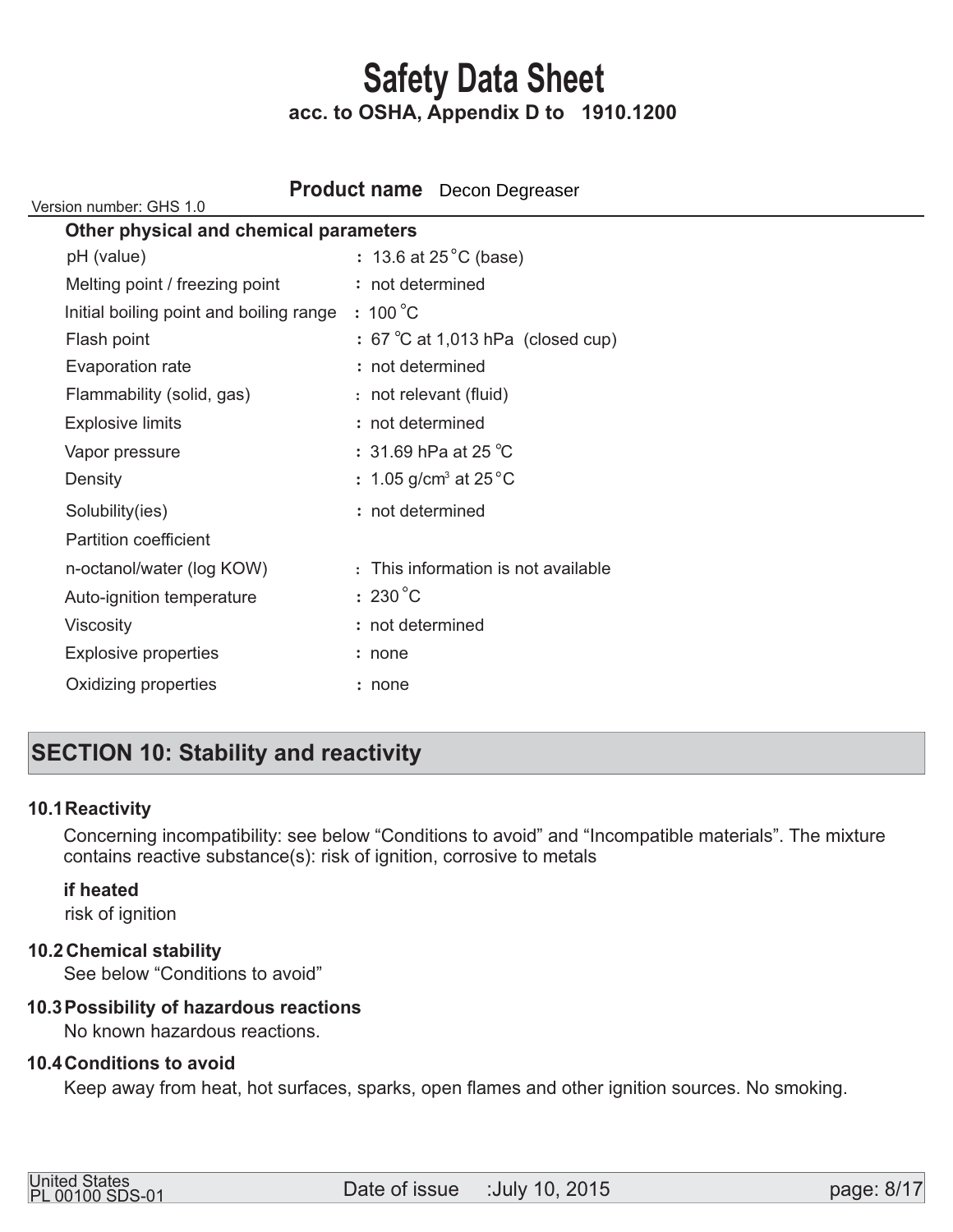| Version number: GHS 1.0                 | <b>Product name</b> Decon Degreaser |
|-----------------------------------------|-------------------------------------|
| Other physical and chemical parameters  |                                     |
| pH (value)                              | : 13.6 at $25^{\circ}$ C (base)     |
| Melting point / freezing point          | : not determined                    |
| Initial boiling point and boiling range | $: 100^{\circ}$ C                   |
| Flash point                             | : 67 °C at 1,013 hPa (closed cup)   |
| Evaporation rate                        | : not determined                    |
| Flammability (solid, gas)               | : not relevant (fluid)              |
| <b>Explosive limits</b>                 | : not determined                    |
| Vapor pressure                          | : 31.69 hPa at 25 $^{\circ}$ C      |
| Density                                 | : 1.05 g/cm <sup>3</sup> at 25 °C   |
| Solubility(ies)                         | : not determined                    |
| Partition coefficient                   |                                     |
| n-octanol/water (log KOW)               | : This information is not available |
| Auto-ignition temperature               | $:230^{\circ}$ C                    |
| Viscosity                               | : not determined                    |
| <b>Explosive properties</b>             | : none                              |
| Oxidizing properties                    | : none                              |
|                                         |                                     |

### **SECTION 10: Stability and reactivity**

### **10.1 Reactivity**

 Concerning incompatibility: see below "Conditions to avoid" and "Incompatible materials". The mixture contains reactive substance(s): risk of ignition, corrosive to metals

### **if heated**

risk of ignition

### **Chemical stability 10.2**

See below "Conditions to avoid"

### **Possibility of hazardous reactions 10.3**

No known hazardous reactions.

### **10.4 Conditions to avoid**

Keep away from heat, hot surfaces, sparks, open flames and other ignition sources. No smoking.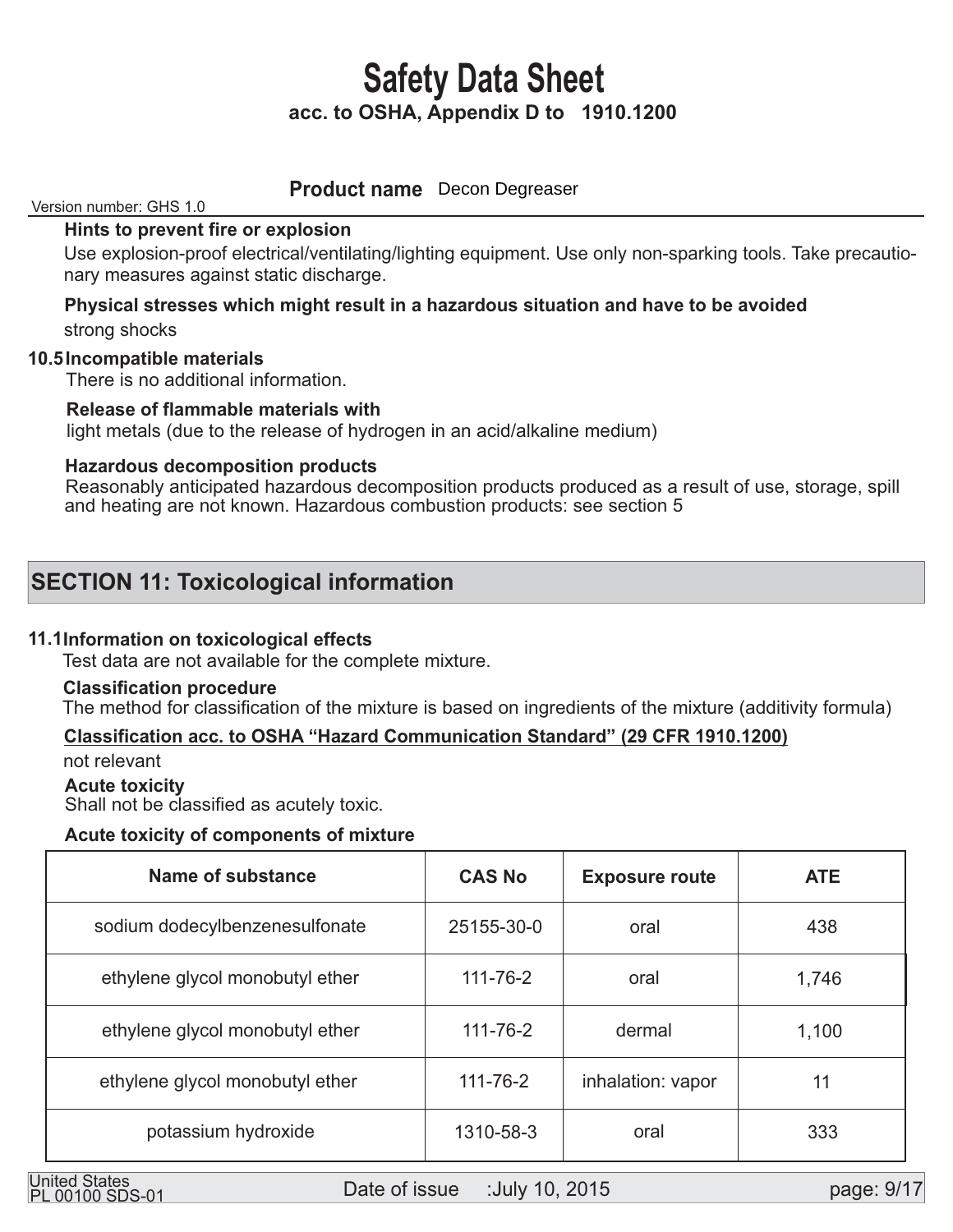### **Product name** Decon Degreaser

Version number: GHS 1.0

### **Hints to prevent fire or explosion**

 Use explosion-proof electrical/ventilating/lighting equipment. Use only non-sparking tools. Take precautio nary measures against static discharge.

### **Physical stresses which might result in a hazardous situation and have to be avoided**  strong shocks

### **Incompatible materials 10.5**

There is no additional information.

#### **Release of flammable materials with**

light metals (due to the release of hydrogen in an acid/alkaline medium)

### **Hazardous decomposition products**

Reasonably anticipated hazardous decomposition products produced as a result of use, storage, spill and heating are not known. Hazardous combustion products: see section 5

### **SECTION 11: Toxicological information**

### **Information on toxicological effects 11.1**

Test data are not available for the complete mixture.

#### **Classification procedure**

The method for classification of the mixture is based on ingredients of the mixture (additivity formula)

### **Classification acc. to OSHA "Hazard Communication Standard" (29 CFR 1910.1200)**

not relevant

#### **Acute toxicity**

Shall not be classified as acutely toxic.

### **Acute toxicity of components of mixture**

| Name of substance               | <b>CAS No</b>  | <b>Exposure route</b> | <b>ATE</b> |
|---------------------------------|----------------|-----------------------|------------|
| sodium dodecylbenzenesulfonate  | 25155-30-0     | oral                  | 438        |
| ethylene glycol monobutyl ether | $111 - 76 - 2$ | oral                  | 1,746      |
| ethylene glycol monobutyl ether | $111 - 76 - 2$ | dermal                | 1,100      |
| ethylene glycol monobutyl ether | $111 - 76 - 2$ | inhalation: vapor     | 11         |
| potassium hydroxide             | 1310-58-3      | oral                  | 333        |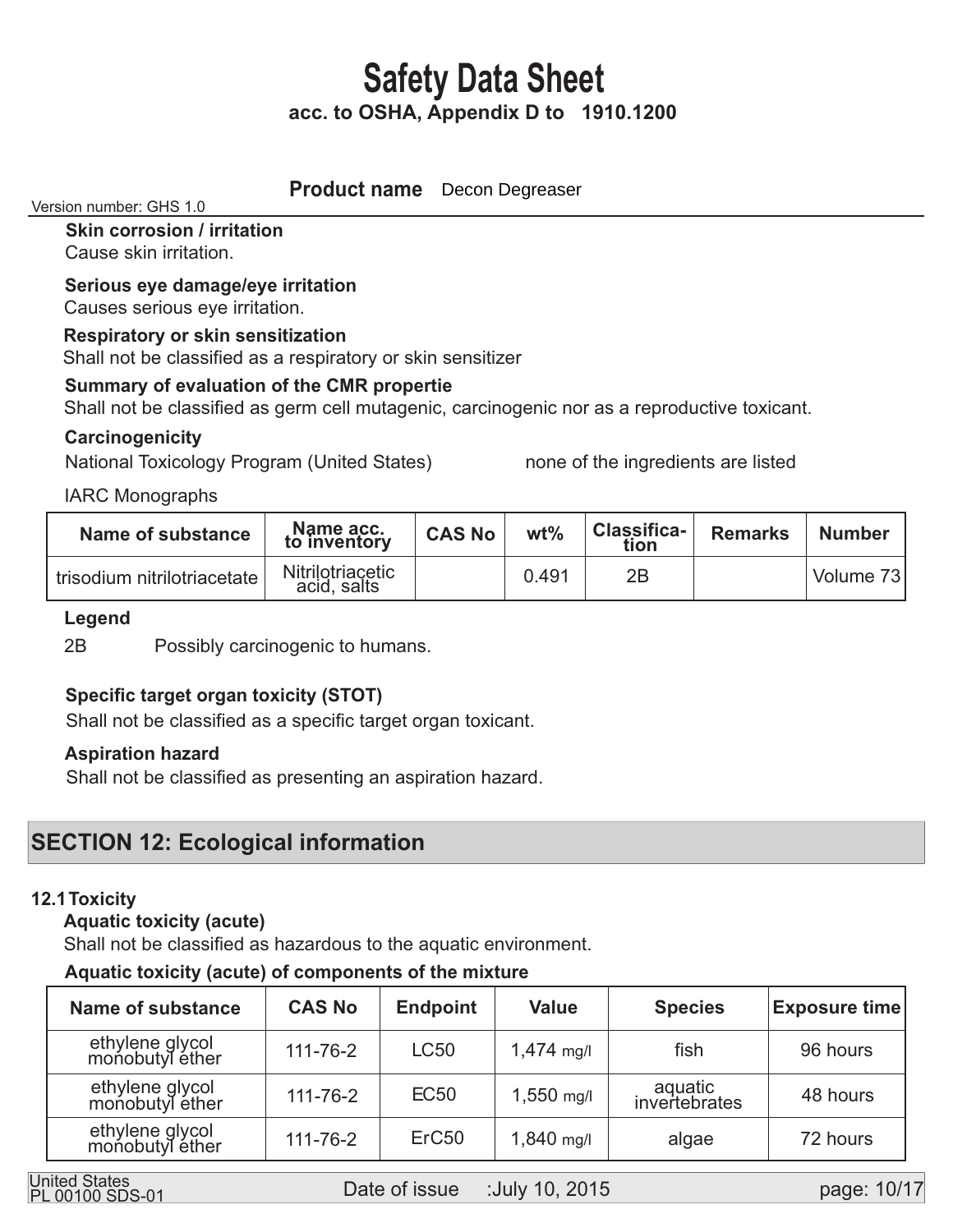#### **Name of substance Name acc. to inventory**  trisodium nitrilotriacetate **CAS No Nitrilotriacetic**  acid, salts **Remarks wt% Number Classification** Volume 73 2B 0.491 Shall not be classified as germ cell mutagenic, carcinogenic nor as a reproductive toxicant.  **Skin corrosion / irritation Serious eye damage/eye irritation Respiratory or skin sensitization Summary of evaluation of the CMR propertie**  Cause skin irritation. Causes serious eye irritation. Shall not be classified as a respiratory or skin sensitizer  **Carcinogenicity**  National Toxicology Program (United States) none of the ingredients are listed IARC Monographs 2B Possibly carcinogenic to humans. **Legend**  Version number: GHS 1.0 **Product name** Decon Degreaser

### **Specific target organ toxicity (STOT)**

Shall not be classified as a specific target organ toxicant.

#### **Aspiration hazard**

Shall not be classified as presenting an aspiration hazard.

### **SECTION 12: Ecological information**

#### **12.1 Toxicity**

 **Aquatic toxicity (acute)** 

Shall not be classified as hazardous to the aquatic environment.

### **Aquatic toxicity (acute) of components of the mixture**

| <b>Name of substance</b>           | <b>CAS No</b>  | <b>Endpoint</b>   | <b>Value</b> | <b>Species</b>           | <b>Exposure time</b> |
|------------------------------------|----------------|-------------------|--------------|--------------------------|----------------------|
| ethylene glycol<br>monobutyl ether | $111 - 76 - 2$ | <b>LC50</b>       | $1,474$ mg/l | fish                     | 96 hours             |
| ethylene glycol<br>monobutyl ether | $111 - 76 - 2$ | <b>EC50</b>       | 1,550 mg/l   | aquatic<br>invertebrates | 48 hours             |
| ethylene glycol<br>monobutyl ether | $111 - 76 - 2$ | ErC <sub>50</sub> | $1,840$ mg/l | algae                    | 72 hours             |

Date of issue :July 10, 2015 United States PL 00100 SDS-01

page: 10/1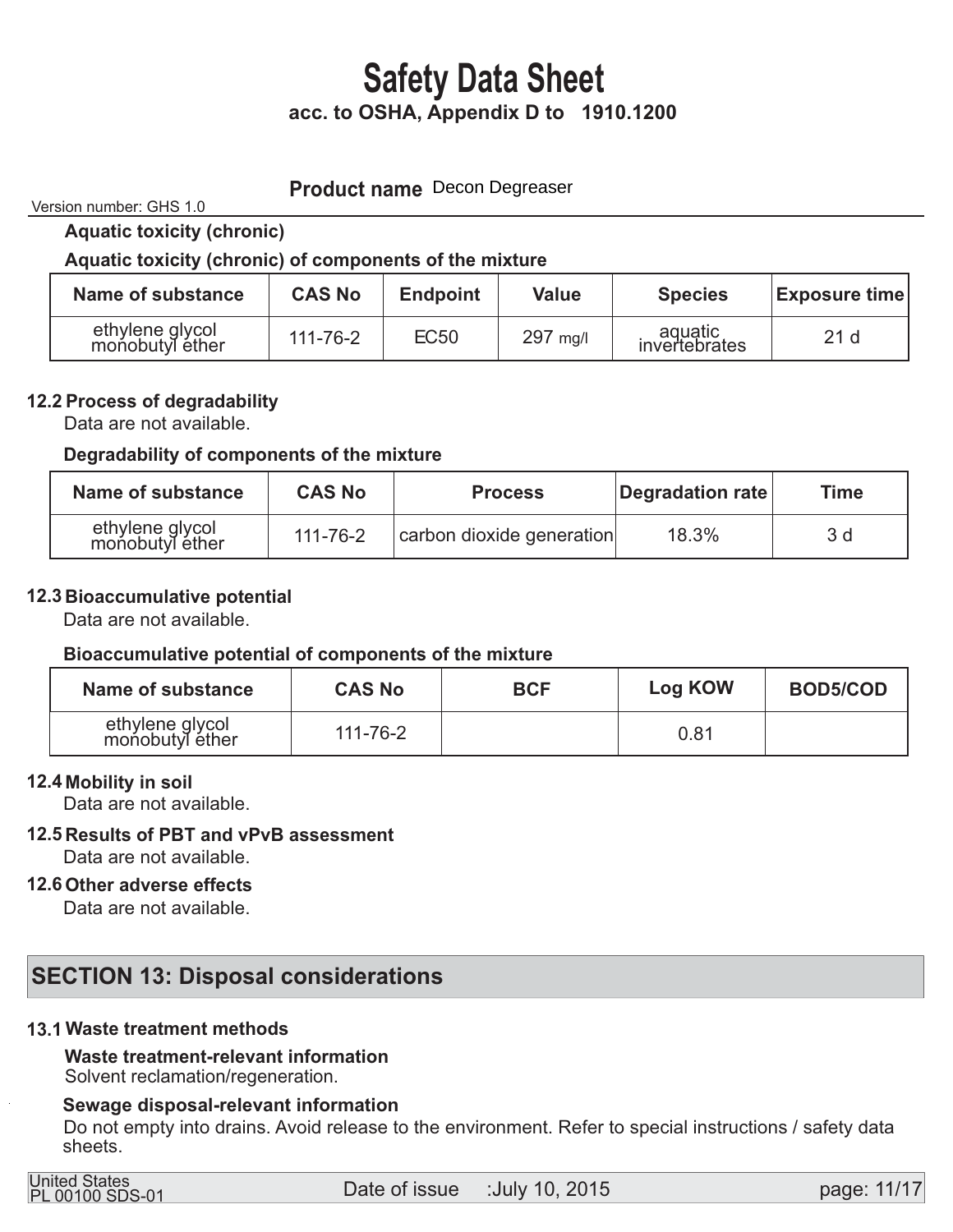### **Product name** Decon Degreaser

Version number: GHS 1.0

 **Aquatic toxicity (chronic)** 

### **Aquatic toxicity (chronic) of components of the mixture**

| Name of substance                  | <b>CAS No</b> | <b>Endpoint</b> | Value    | <b>Species</b>           | <b>Exposure time</b> |
|------------------------------------|---------------|-----------------|----------|--------------------------|----------------------|
| ethylene glycol<br>monobutyl ether | 111-76-2      | <b>EC50</b>     | 297 mg/l | aquatic<br>invertebrates | 21 <sub>d</sub>      |

### **12.2 Process of degradability**

Data are not available.

### **Degradability of components of the mixture**

| Name of substance                  | <b>CAS No</b>  | <b>Process</b>            | Degradation rate | Time |
|------------------------------------|----------------|---------------------------|------------------|------|
| ethylene glycol<br>monobutyl ether | $111 - 76 - 2$ | carbon dioxide generation | 18.3%            | 3 d  |

### **12.3 Bioaccumulative potential**

Data are not available.

### **Bioaccumulative potential of components of the mixture**

| Name of substance                  | <b>CAS No</b>  | <b>BCF</b> | Log KOW | BOD5/COD |
|------------------------------------|----------------|------------|---------|----------|
| ethylene glycol<br>monobutyl ether | $111 - 76 - 2$ |            | 0.81    |          |

### **12.4 Mobility in soil**

Data are not available.

### **12.5 Results of PBT and vPvB assessment**

Data are not available.

### **12.6 Other adverse effects**

Data are not available.

## **SECTION 13: Disposal considerations**

### **Waste treatment methods 13.1**

 **Waste treatment-relevant information**  Solvent reclamation/regeneration.

### **Sewage disposal-relevant information**

 Do not empty into drains. Avoid release to the environment. Refer to special instructions / safety data sheets.

| <b>United States</b> |                        |
|----------------------|------------------------|
|                      | <b>PL 00100 SDS-01</b> |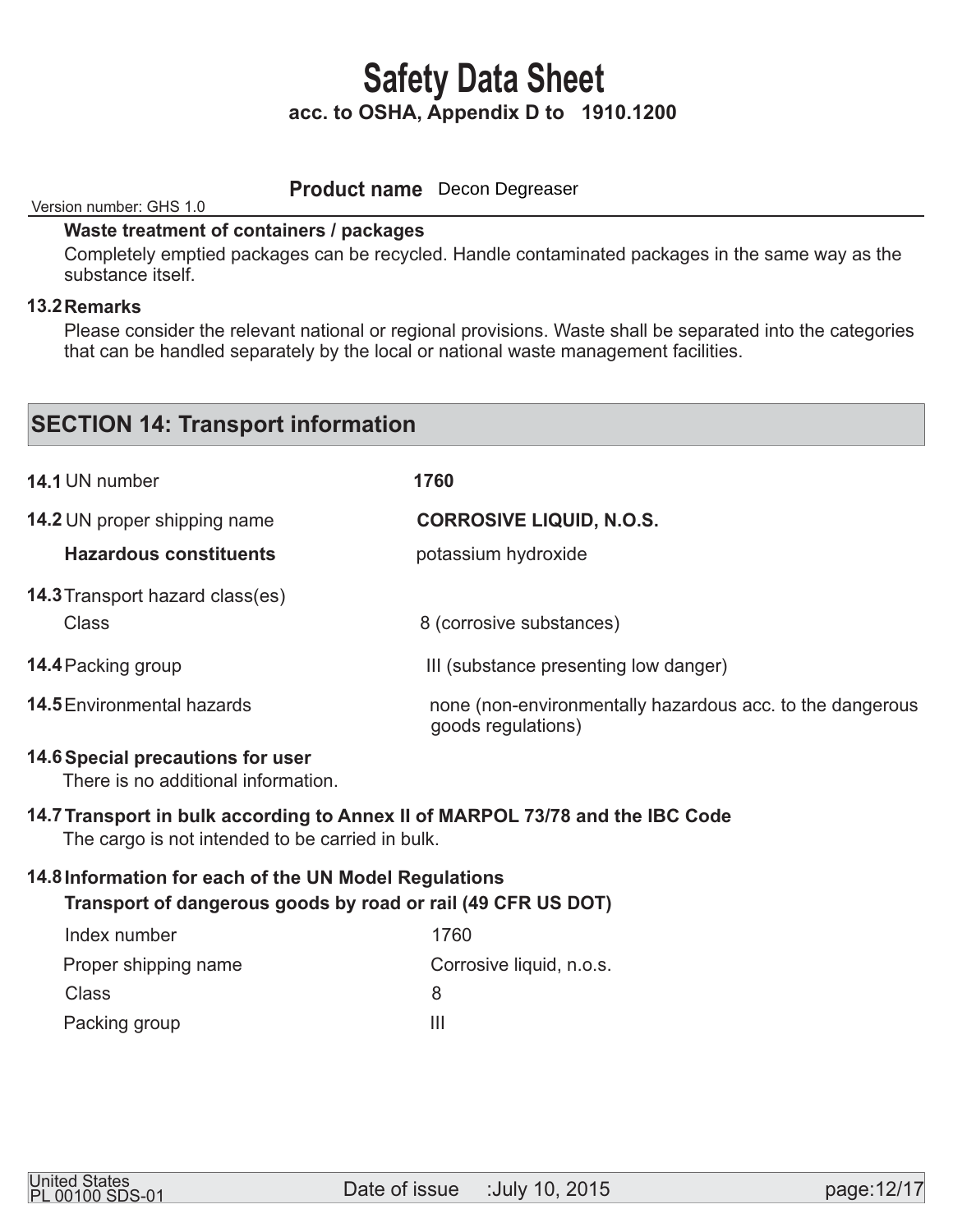### **Product name** Decon Degreaser

Version number: GHS 1.0

### **Waste treatment of containers / packages**

**SECTION 14: Transport information**

 Completely emptied packages can be recycled. Handle contaminated packages in the same way as the substance itself.

#### **13.2 Remarks**

 Please consider the relevant national or regional provisions. Waste shall be separated into the categories that can be handled separately by the local or national waste management facilities.

## **14.6 Special precautions for user**  There is no additional information. The cargo is not intended to be carried in bulk.  **Transport of dangerous goods by road or rail (49 CFR US DOT)**  Index number 1760 Class 8 Proper shipping name Corrosive liquid, n.o.s. Packing group III 14.7 Transport in bulk according to Annex II of MARPOL 73/78 and the IBC Code **Information for each of the UN Model Regulations 14.8 14.1** UN number **1760 14.2** UN proper shipping name **CORROSIVE LIQUID, N.O.S.** Class 8 (corrosive substances) III (substance presenting low danger) hone (non-environmentally hazardous acc. to the dangerous goods regulations) **14.3** Transport hazard class(es) **Hazardous constituents potassium hydroxide 14.4 14.5** Environmental hazards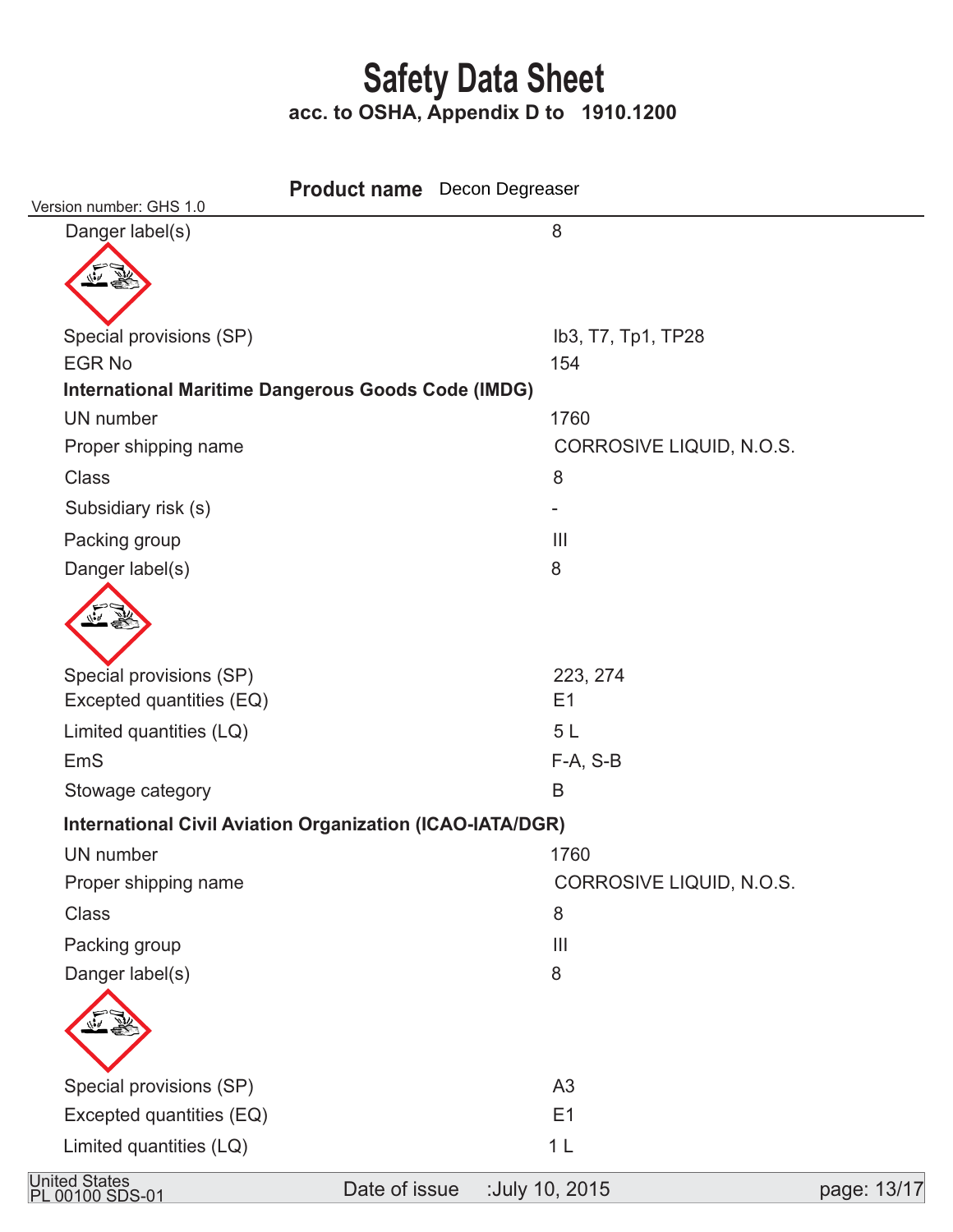| Version number: GHS 1.0                                          | <b>Product name</b> Decon Degreaser |                          |             |
|------------------------------------------------------------------|-------------------------------------|--------------------------|-------------|
| Danger label(s)                                                  |                                     | 8                        |             |
|                                                                  |                                     |                          |             |
| Special provisions (SP)                                          |                                     | lb3, T7, Tp1, TP28       |             |
| <b>EGR No</b>                                                    |                                     | 154                      |             |
| <b>International Maritime Dangerous Goods Code (IMDG)</b>        |                                     |                          |             |
| UN number                                                        |                                     | 1760                     |             |
| Proper shipping name                                             |                                     | CORROSIVE LIQUID, N.O.S. |             |
| <b>Class</b>                                                     |                                     | 8                        |             |
| Subsidiary risk (s)                                              |                                     |                          |             |
| Packing group                                                    |                                     | $\mathbf{III}$           |             |
| Danger label(s)                                                  |                                     | 8                        |             |
|                                                                  |                                     |                          |             |
| Special provisions (SP)<br>Excepted quantities (EQ)              |                                     | 223, 274<br>E1           |             |
| Limited quantities (LQ)                                          |                                     | 5L                       |             |
| EmS                                                              |                                     | $F-A, S-B$               |             |
| Stowage category                                                 |                                     | B                        |             |
| <b>International Civil Aviation Organization (ICAO-IATA/DGR)</b> |                                     |                          |             |
| <b>UN</b> number                                                 |                                     | 1760                     |             |
| Proper shipping name                                             |                                     | CORROSIVE LIQUID, N.O.S. |             |
| <b>Class</b>                                                     |                                     | 8                        |             |
| Packing group                                                    |                                     | $\mathop{\text{III}}$    |             |
| Danger label(s)                                                  |                                     | 8                        |             |
|                                                                  |                                     |                          |             |
| Special provisions (SP)                                          |                                     | A3                       |             |
| Excepted quantities (EQ)                                         |                                     | E1                       |             |
| Limited quantities (LQ)                                          |                                     | 1 <sub>L</sub>           |             |
| United States<br>PL 00100 SDS-01                                 | Date of issue                       | :July 10, 2015           | page: 13/17 |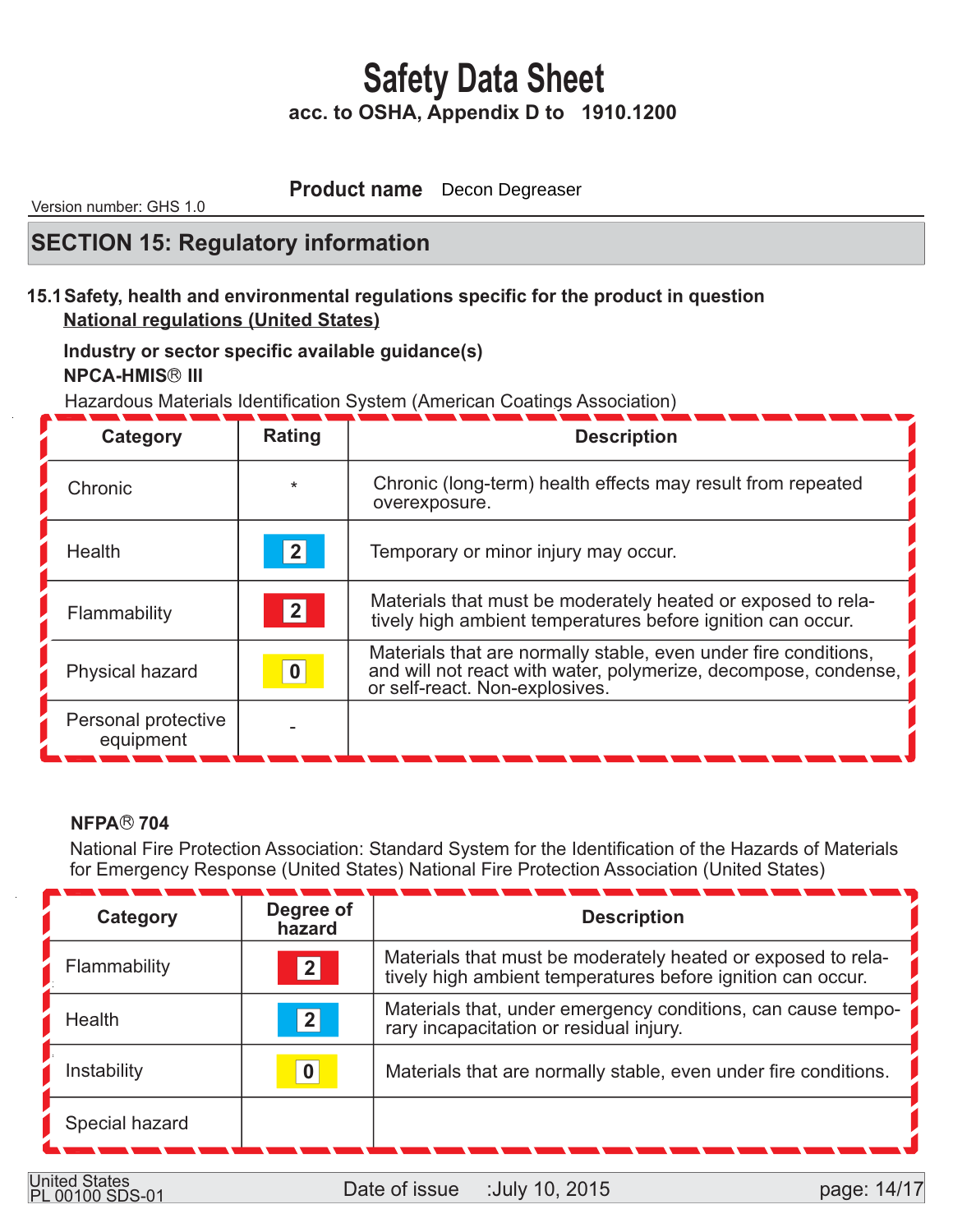**Product name** Decon Degreaser

Version number: GHS 1.0

### **SECTION 15: Regulatory information**

### **15.1 Safety, health and environmental regulations specific for the product in question National regulations (United States)**

### **Industry or sector specific available guidance(s) NPCA-HMIS<sup>®</sup> III**

Hazardous Materials Identification System (American Coatings Association)

| Category                         | <b>Rating</b> | <b>Description</b>                                                                                                                                                     |
|----------------------------------|---------------|------------------------------------------------------------------------------------------------------------------------------------------------------------------------|
| Chronic                          | $\star$       | Chronic (long-term) health effects may result from repeated<br>overexposure.                                                                                           |
| Health                           | 2             | Temporary or minor injury may occur.                                                                                                                                   |
| Flammability                     | 2             | Materials that must be moderately heated or exposed to rela-<br>tively high ambient temperatures before ignition can occur.                                            |
| Physical hazard                  | $\bf{0}$      | Materials that are normally stable, even under fire conditions,<br>and will not react with water, polymerize, decompose, condense, I<br>or self-react. Non-explosives. |
| Personal protective<br>equipment |               |                                                                                                                                                                        |

### **NFPA® 704**

 National Fire Protection Association: Standard System for the Identification of the Hazards of Materials for Emergency Response (United States) National Fire Protection Association (United States)

| Category       | Degree of<br>hazard | <b>Description</b>                                                                                                          |
|----------------|---------------------|-----------------------------------------------------------------------------------------------------------------------------|
| Flammability   | 2                   | Materials that must be moderately heated or exposed to rela-<br>tively high ambient temperatures before ignition can occur. |
| Health         | 2                   | Materials that, under emergency conditions, can cause tempo-<br>rary incapacitation or residual injury.                     |
| Instability    | $\boldsymbol{0}$    | Materials that are normally stable, even under fire conditions.                                                             |
| Special hazard |                     |                                                                                                                             |

Date of issue :July 10, 2015 United States PL 00100 SDS-01

page: 14/17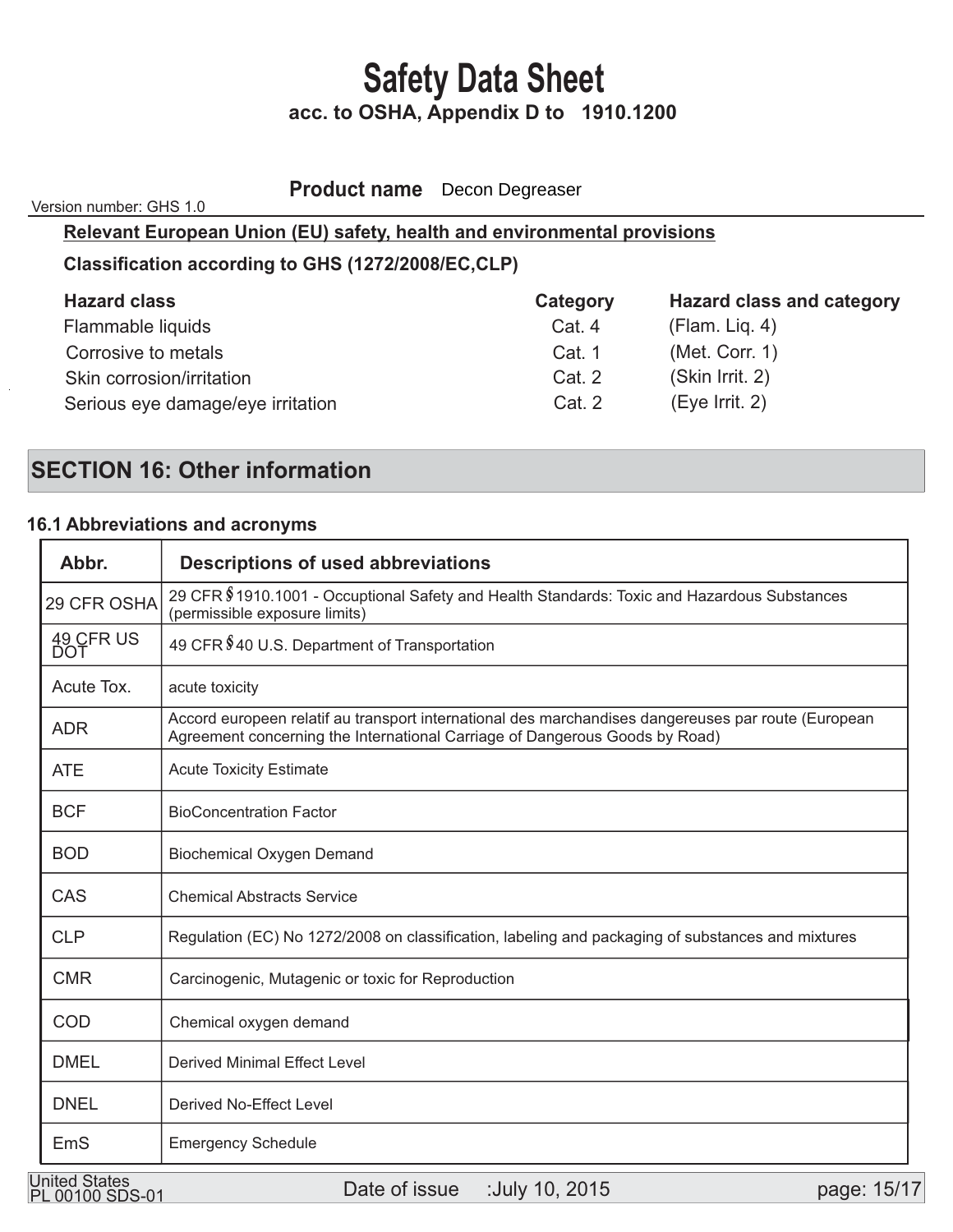**Classification according to GHS (1272/2008/EC,CLP) Hazard class**  Flammable liquids Cat. 4 Cat. 1 Cat. 2 Cat. 2 (Flam. Liq. 4) (Met. Corr. 1) (Skin Irrit. 2) (Eye Irrit. 2) Corrosive to metals Skin corrosion/irritation Serious eye damage/eye irritation  **Category Hazard class and category Relevant European Union (EU) safety, health and environmental provisions** Version number: GHS 1.0 **Product name** Decon Degreaser

### **SECTION 16: Other information**

### **Abbreviations and acronyms 16.1**

| Abbr.                   | <b>Descriptions of used abbreviations</b>                                                                                                                                          |
|-------------------------|------------------------------------------------------------------------------------------------------------------------------------------------------------------------------------|
| 29 CFR OSHA             | 29 CFR § 1910.1001 - Occuptional Safety and Health Standards: Toxic and Hazardous Substances<br>(permissible exposure limits)                                                      |
| 49 CFR US<br><b>DOT</b> | 49 CFR \$40 U.S. Department of Transportation                                                                                                                                      |
| Acute Tox.              | acute toxicity                                                                                                                                                                     |
| <b>ADR</b>              | Accord europeen relatif au transport international des marchandises dangereuses par route (European<br>Agreement concerning the International Carriage of Dangerous Goods by Road) |
| <b>ATE</b>              | <b>Acute Toxicity Estimate</b>                                                                                                                                                     |
| <b>BCF</b>              | <b>BioConcentration Factor</b>                                                                                                                                                     |
| <b>BOD</b>              | <b>Biochemical Oxygen Demand</b>                                                                                                                                                   |
| CAS                     | <b>Chemical Abstracts Service</b>                                                                                                                                                  |
| <b>CLP</b>              | Regulation (EC) No 1272/2008 on classification, labeling and packaging of substances and mixtures                                                                                  |
| <b>CMR</b>              | Carcinogenic, Mutagenic or toxic for Reproduction                                                                                                                                  |
| COD                     | Chemical oxygen demand                                                                                                                                                             |
| <b>DMEL</b>             | <b>Derived Minimal Effect Level</b>                                                                                                                                                |
| <b>DNEL</b>             | Derived No-Effect Level                                                                                                                                                            |
| EmS                     | <b>Emergency Schedule</b>                                                                                                                                                          |

Date of issue :July 10, 2015 United States PL 00100 SDS-01

page: 15/17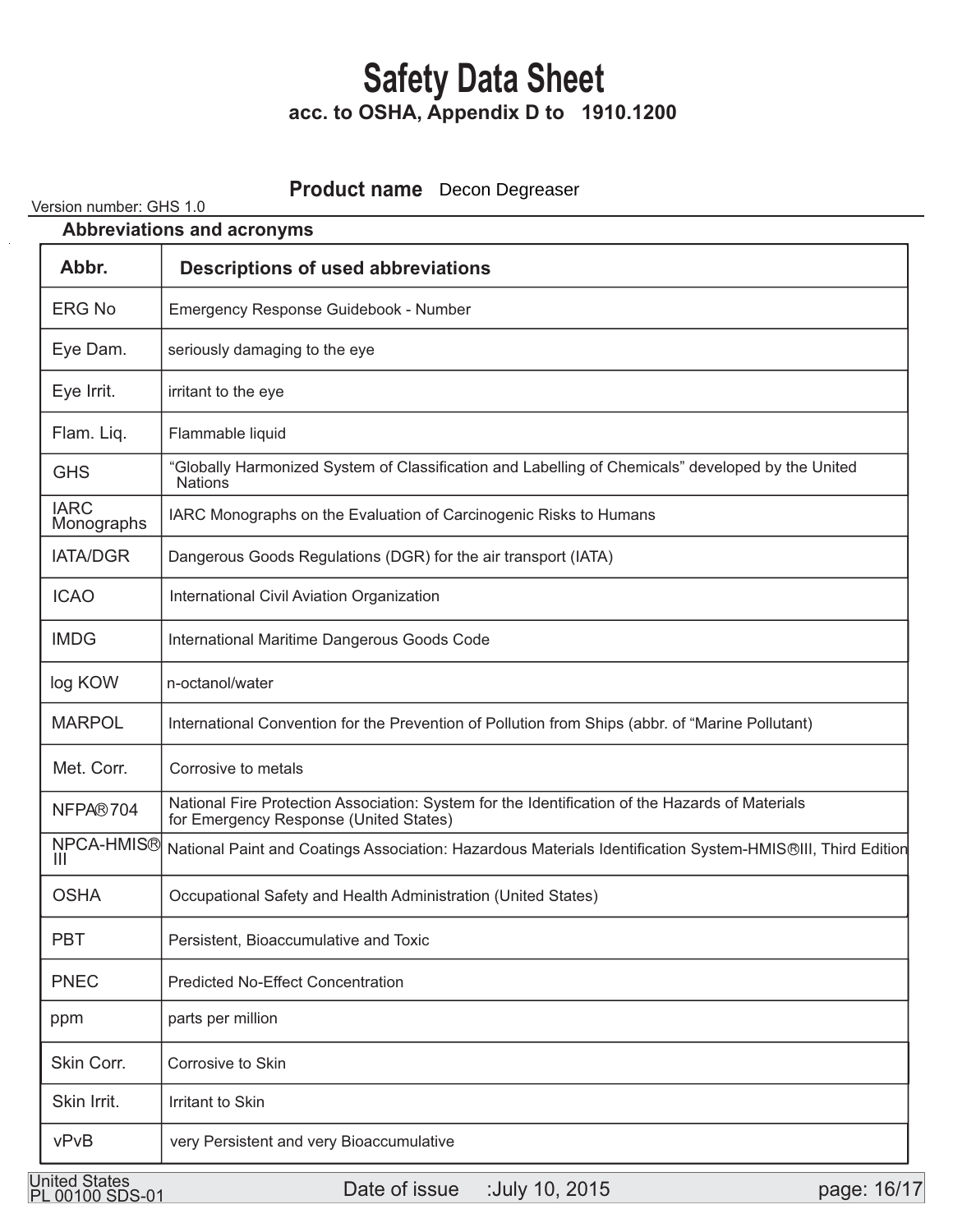### **Product name** Decon Degreaser

### Version number: GHS 1.0

| <b>Abbreviations and acronyms</b> |                                                                                                                                           |  |
|-----------------------------------|-------------------------------------------------------------------------------------------------------------------------------------------|--|
| Abbr.                             | <b>Descriptions of used abbreviations</b>                                                                                                 |  |
| <b>ERG No</b>                     | Emergency Response Guidebook - Number                                                                                                     |  |
| Eye Dam.                          | seriously damaging to the eye                                                                                                             |  |
| Eye Irrit.                        | irritant to the eye                                                                                                                       |  |
| Flam. Liq.                        | Flammable liquid                                                                                                                          |  |
| <b>GHS</b>                        | "Globally Harmonized System of Classification and Labelling of Chemicals" developed by the United<br><b>Nations</b>                       |  |
| <b>IARC</b><br>Monographs         | IARC Monographs on the Evaluation of Carcinogenic Risks to Humans                                                                         |  |
| <b>IATA/DGR</b>                   | Dangerous Goods Regulations (DGR) for the air transport (IATA)                                                                            |  |
| <b>ICAO</b>                       | International Civil Aviation Organization                                                                                                 |  |
| <b>IMDG</b>                       | International Maritime Dangerous Goods Code                                                                                               |  |
| log KOW                           | n-octanol/water                                                                                                                           |  |
| <b>MARPOL</b>                     | International Convention for the Prevention of Pollution from Ships (abbr. of "Marine Pollutant)                                          |  |
| Met. Corr.                        | Corrosive to metals                                                                                                                       |  |
| NFPA®704                          | National Fire Protection Association: System for the Identification of the Hazards of Materials<br>for Emergency Response (United States) |  |
| NPCA-HMIS®<br>Ш                   | National Paint and Coatings Association: Hazardous Materials Identification System-HMIS®III, Third Edition                                |  |
| <b>OSHA</b>                       | Occupational Safety and Health Administration (United States)                                                                             |  |
| <b>PBT</b>                        | Persistent, Bioaccumulative and Toxic                                                                                                     |  |
| <b>PNEC</b>                       | <b>Predicted No-Effect Concentration</b>                                                                                                  |  |
| ppm                               | parts per million                                                                                                                         |  |
| Skin Corr.                        | Corrosive to Skin                                                                                                                         |  |
| Skin Irrit.                       | <b>Irritant to Skin</b>                                                                                                                   |  |
| vPvB                              | very Persistent and very Bioaccumulative                                                                                                  |  |

Date of issue :July 10, 2015 United States PL 00100 SDS-01